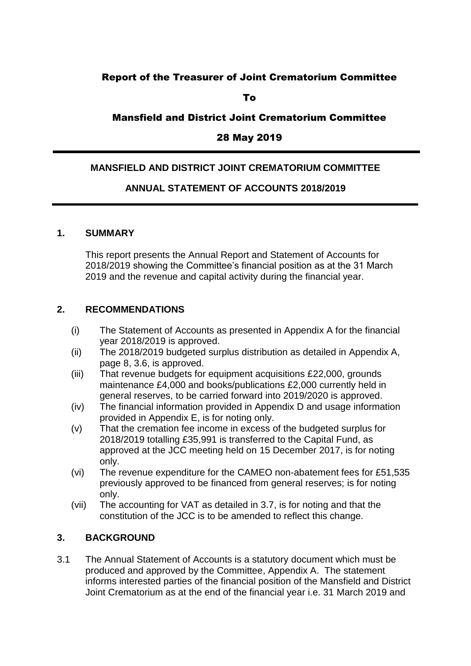# Report of the Treasurer of Joint Crematorium Committee

To

## Mansfield and District Joint Crematorium Committee

## 28 May 2019

#### **MANSFIELD AND DISTRICT JOINT CREMATORIUM COMMITTEE**

## **ANNUAL STATEMENT OF ACCOUNTS 2018/2019**

#### **1. SUMMARY**

This report presents the Annual Report and Statement of Accounts for 2018/2019 showing the Committee's financial position as at the 31 March 2019 and the revenue and capital activity during the financial year.

#### **2. RECOMMENDATIONS**

- (i) The Statement of Accounts as presented in Appendix A for the financial year 2018/2019 is approved.
- (ii) The 2018/2019 budgeted surplus distribution as detailed in Appendix A, page 8, 3.6, is approved.
- (iii) That revenue budgets for equipment acquisitions £22,000, grounds maintenance £4,000 and books/publications £2,000 currently held in general reserves, to be carried forward into 2019/2020 is approved.
- (iv) The financial information provided in Appendix D and usage information provided in Appendix E, is for noting only.
- (v) That the cremation fee income in excess of the budgeted surplus for 2018/2019 totalling £35,991 is transferred to the Capital Fund, as approved at the JCC meeting held on 15 December 2017, is for noting only.
- (vi) The revenue expenditure for the CAMEO non-abatement fees for £51,535 previously approved to be financed from general reserves; is for noting only.
- (vii) The accounting for VAT as detailed in 3.7, is for noting and that the constitution of the JCC is to be amended to reflect this change.

#### **3. BACKGROUND**

3.1 The Annual Statement of Accounts is a statutory document which must be produced and approved by the Committee, Appendix A. The statement informs interested parties of the financial position of the Mansfield and District Joint Crematorium as at the end of the financial year i.e. 31 March 2019 and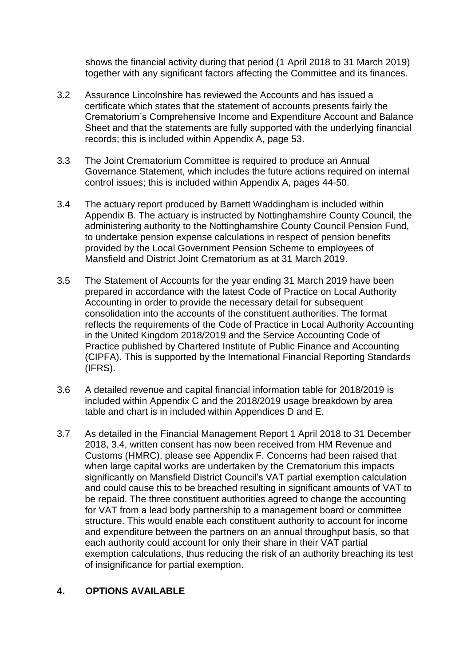shows the financial activity during that period (1 April 2018 to 31 March 2019) together with any significant factors affecting the Committee and its finances.

- 3.2 Assurance Lincolnshire has reviewed the Accounts and has issued a certificate which states that the statement of accounts presents fairly the Crematorium's Comprehensive Income and Expenditure Account and Balance Sheet and that the statements are fully supported with the underlying financial records; this is included within Appendix A, page 53.
- 3.3 The Joint Crematorium Committee is required to produce an Annual Governance Statement, which includes the future actions required on internal control issues; this is included within Appendix A, pages 44-50.
- 3.4 The actuary report produced by Barnett Waddingham is included within Appendix B. The actuary is instructed by Nottinghamshire County Council, the administering authority to the Nottinghamshire County Council Pension Fund, to undertake pension expense calculations in respect of pension benefits provided by the Local Government Pension Scheme to employees of Mansfield and District Joint Crematorium as at 31 March 2019.
- 3.5 The Statement of Accounts for the year ending 31 March 2019 have been prepared in accordance with the latest Code of Practice on Local Authority Accounting in order to provide the necessary detail for subsequent consolidation into the accounts of the constituent authorities. The format reflects the requirements of the Code of Practice in Local Authority Accounting in the United Kingdom 2018/2019 and the Service Accounting Code of Practice published by Chartered Institute of Public Finance and Accounting (CIPFA). This is supported by the International Financial Reporting Standards (IFRS).
- 3.6 A detailed revenue and capital financial information table for 2018/2019 is included within Appendix C and the 2018/2019 usage breakdown by area table and chart is in included within Appendices D and E.
- 3.7 As detailed in the Financial Management Report 1 April 2018 to 31 December 2018, 3.4, written consent has now been received from HM Revenue and Customs (HMRC), please see Appendix F. Concerns had been raised that when large capital works are undertaken by the Crematorium this impacts significantly on Mansfield District Council's VAT partial exemption calculation and could cause this to be breached resulting in significant amounts of VAT to be repaid. The three constituent authorities agreed to change the accounting for VAT from a lead body partnership to a management board or committee structure. This would enable each constituent authority to account for income and expenditure between the partners on an annual throughput basis, so that each authority could account for only their share in their VAT partial exemption calculations, thus reducing the risk of an authority breaching its test of insignificance for partial exemption.

#### **4. OPTIONS AVAILABLE**